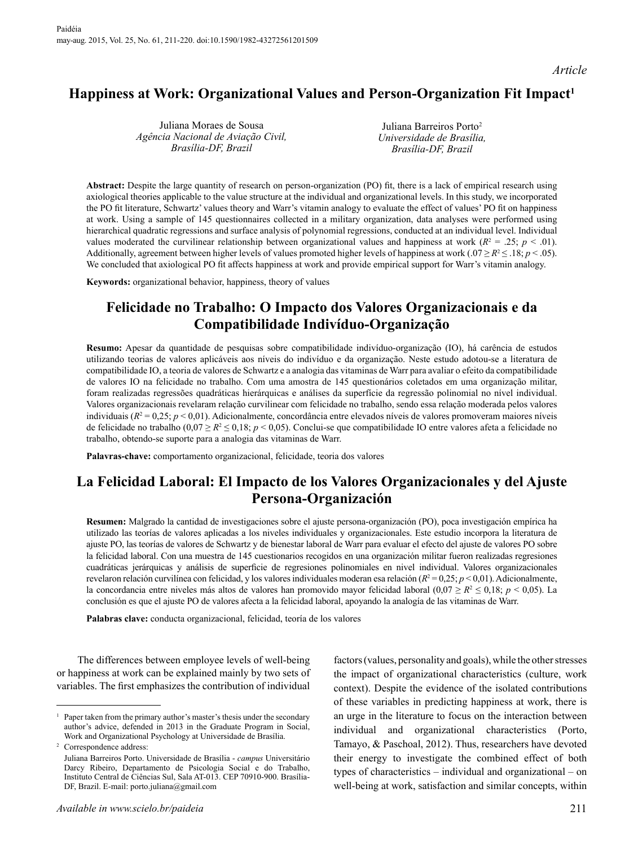# **Happiness at Work: Organizational Values and Person-Organization Fit Impact1**

| Juliana Moraes de Sousa            | Juliana Barreiros Porto <sup>2</sup> |
|------------------------------------|--------------------------------------|
| Agência Nacional de Aviação Civil, | Universidade de Brasília.            |
| Brasília-DF, Brazil                | Brasília-DF. Brazil                  |

**Abstract:** Despite the large quantity of research on person-organization (PO) fit, there is a lack of empirical research using axiological theories applicable to the value structure at the individual and organizational levels. In this study, we incorporated the PO fit literature, Schwartz' values theory and Warr's vitamin analogy to evaluate the effect of values' PO fit on happiness at work. Using a sample of 145 questionnaires collected in a military organization, data analyses were performed using hierarchical quadratic regressions and surface analysis of polynomial regressions, conducted at an individual level. Individual values moderated the curvilinear relationship between organizational values and happiness at work ( $R^2 = .25$ ;  $p < .01$ ). Additionally, agreement between higher levels of values promoted higher levels of happiness at work (.07  $\geq R^2 \leq .18$ ; *p* < .05). We concluded that axiological PO fit affects happiness at work and provide empirical support for Warr's vitamin analogy.

**Keywords:** organizational behavior, happiness, theory of values

# **Felicidade no Trabalho: O Impacto dos Valores Organizacionais e da Compatibilidade Indivíduo-Organização**

**Resumo:** Apesar da quantidade de pesquisas sobre compatibilidade indivíduo-organização (IO), há carência de estudos utilizando teorias de valores aplicáveis aos níveis do indivíduo e da organização. Neste estudo adotou-se a literatura de compatibilidade IO, a teoria de valores de Schwartz e a analogia das vitaminas de Warr para avaliar o efeito da compatibilidade de valores IO na felicidade no trabalho. Com uma amostra de 145 questionários coletados em uma organização militar, foram realizadas regressões quadráticas hierárquicas e análises da superfície da regressão polinomial no nível individual. Valores organizacionais revelaram relação curvilinear com felicidade no trabalho, sendo essa relação moderada pelos valores individuais (*R*<sup>2</sup> = 0,25; *p* < 0,01). Adicionalmente, concordância entre elevados níveis de valores promoveram maiores níveis de felicidade no trabalho (0,07 ≥ *R*<sup>2</sup> ≤ 0,18; *p* < 0,05). Conclui-se que compatibilidade IO entre valores afeta a felicidade no trabalho, obtendo-se suporte para a analogia das vitaminas de Warr.

**Palavras-chave:** comportamento organizacional, felicidade, teoria dos valores

# **La Felicidad Laboral: El Impacto de los Valores Organizacionales y del Ajuste Persona-Organización**

**Resumen:** Malgrado la cantidad de investigaciones sobre el ajuste persona-organización (PO), poca investigación empírica ha utilizado las teorías de valores aplicadas a los niveles individuales y organizacionales. Este estudio incorpora la literatura de ajuste PO, las teorías de valores de Schwartz y de bienestar laboral de Warr para evaluar el efecto del ajuste de valores PO sobre la felicidad laboral. Con una muestra de 145 cuestionarios recogidos en una organización militar fueron realizadas regresiones cuadráticas jerárquicas y análisis de superficie de regresiones polinomiales en nivel individual. Valores organizacionales revelaron relación curvilínea con felicidad, y los valores individuales moderan esa relación (*R*<sup>2</sup> = 0,25; *p* < 0,01). Adicionalmente, la concordancia entre niveles más altos de valores han promovido mayor felicidad laboral  $(0.07 \ge R^2 \le 0.18; p \le 0.05)$ . La conclusión es que el ajuste PO de valores afecta a la felicidad laboral, apoyando la analogía de las vitaminas de Warr.

**Palabras clave:** conducta organizacional, felicidad, teoría de los valores

The differences between employee levels of well-being or happiness at work can be explained mainly by two sets of variables. The first emphasizes the contribution of individual factors (values, personality and goals), while the other stresses the impact of organizational characteristics (culture, work context). Despite the evidence of the isolated contributions of these variables in predicting happiness at work, there is an urge in the literature to focus on the interaction between individual and organizational characteristics (Porto, Tamayo, & Paschoal, 2012). Thus, researchers have devoted their energy to investigate the combined effect of both types of characteristics – individual and organizational – on well-being at work, satisfaction and similar concepts, within

<sup>&</sup>lt;sup>1</sup> Paper taken from the primary author's master's thesis under the secondary author's advice, defended in 2013 in the Graduate Program in Social, Work and Organizational Psychology at Universidade de Brasília.

<sup>2</sup> Correspondence address:

Juliana Barreiros Porto. Universidade de Brasília - *campus* Universitário Darcy Ribeiro, Departamento de Psicologia Social e do Trabalho, Instituto Central de Ciências Sul, Sala AT-013. CEP 70910-900. Brasília-DF, Brazil. E-mail: porto.juliana@gmail.com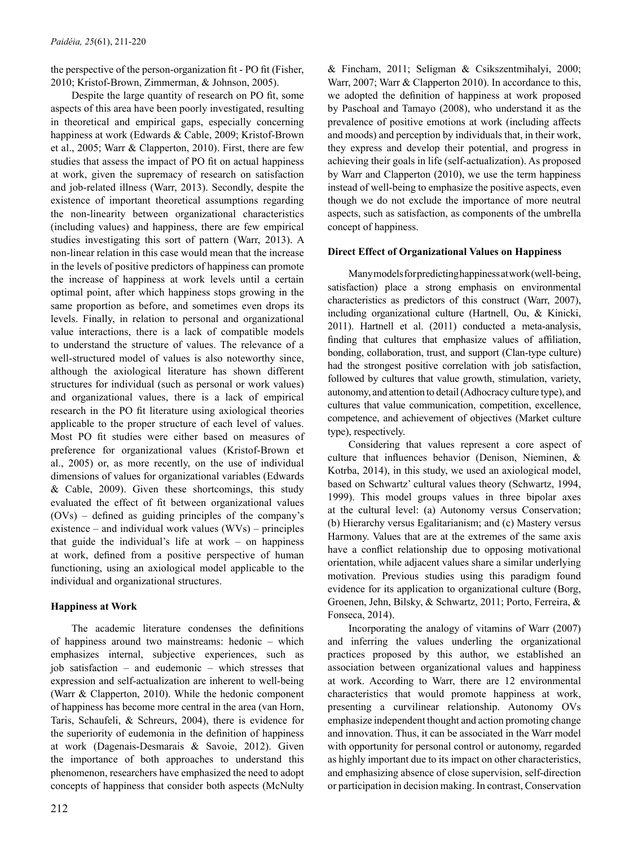the perspective of the person-organization fit - PO fit (Fisher, 2010; Kristof-Brown, Zimmerman, & Johnson, 2005).

Despite the large quantity of research on PO fit, some aspects of this area have been poorly investigated, resulting in theoretical and empirical gaps, especially concerning happiness at work (Edwards & Cable, 2009; Kristof-Brown et al., 2005; Warr & Clapperton, 2010). First, there are few studies that assess the impact of PO fit on actual happiness at work, given the supremacy of research on satisfaction and job-related illness (Warr, 2013). Secondly, despite the existence of important theoretical assumptions regarding the non-linearity between organizational characteristics (including values) and happiness, there are few empirical studies investigating this sort of pattern (Warr, 2013). A non-linear relation in this case would mean that the increase in the levels of positive predictors of happiness can promote the increase of happiness at work levels until a certain optimal point, after which happiness stops growing in the same proportion as before, and sometimes even drops its levels. Finally, in relation to personal and organizational value interactions, there is a lack of compatible models to understand the structure of values. The relevance of a well-structured model of values is also noteworthy since, although the axiological literature has shown different structures for individual (such as personal or work values) and organizational values, there is a lack of empirical research in the PO fit literature using axiological theories applicable to the proper structure of each level of values. Most PO fit studies were either based on measures of preference for organizational values (Kristof-Brown et al., 2005) or, as more recently, on the use of individual dimensions of values for organizational variables (Edwards  $& Cable, 2009$ . Given these shortcomings, this study evaluated the effect of fit between organizational values (OVs) – defined as guiding principles of the company's existence – and individual work values (WVs) – principles that guide the individual's life at work – on happiness at work, defined from a positive perspective of human functioning, using an axiological model applicable to the individual and organizational structures.

# **Happiness at Work**

The academic literature condenses the definitions of happiness around two mainstreams: hedonic – which emphasizes internal, subjective experiences, such as job satisfaction – and eudemonic – which stresses that expression and self-actualization are inherent to well-being (Warr & Clapperton, 2010). While the hedonic component of happiness has become more central in the area (van Horn, Taris, Schaufeli, & Schreurs, 2004), there is evidence for the superiority of eudemonia in the definition of happiness at work (Dagenais-Desmarais & Savoie, 2012). Given the importance of both approaches to understand this phenomenon, researchers have emphasized the need to adopt concepts of happiness that consider both aspects (McNulty

& Fincham, 2011; Seligman & Csikszentmihalyi, 2000; Warr, 2007; Warr & Clapperton 2010). In accordance to this, we adopted the definition of happiness at work proposed by Paschoal and Tamayo (2008), who understand it as the prevalence of positive emotions at work (including affects and moods) and perception by individuals that, in their work, they express and develop their potential, and progress in achieving their goals in life (self-actualization). As proposed by Warr and Clapperton (2010), we use the term happiness instead of well-being to emphasize the positive aspects, even though we do not exclude the importance of more neutral aspects, such as satisfaction, as components of the umbrella concept of happiness.

### **Direct Effect of Organizational Values on Happiness**

Many models for predicting happiness at work (well-being, satisfaction) place a strong emphasis on environmental characteristics as predictors of this construct (Warr, 2007), including organizational culture (Hartnell, Ou, & Kinicki, 2011). Hartnell et al. (2011) conducted a meta-analysis, finding that cultures that emphasize values of affiliation, bonding, collaboration, trust, and support (Clan-type culture) had the strongest positive correlation with job satisfaction, followed by cultures that value growth, stimulation, variety, autonomy, and attention to detail (Adhocracy culture type), and cultures that value communication, competition, excellence, competence, and achievement of objectives (Market culture type), respectively.

Considering that values represent a core aspect of culture that influences behavior (Denison, Nieminen, & Kotrba, 2014), in this study, we used an axiological model, based on Schwartz' cultural values theory (Schwartz, 1994, 1999). This model groups values in three bipolar axes at the cultural level: (a) Autonomy versus Conservation; (b) Hierarchy versus Egalitarianism; and (c) Mastery versus Harmony. Values that are at the extremes of the same axis have a conflict relationship due to opposing motivational orientation, while adjacent values share a similar underlying motivation. Previous studies using this paradigm found evidence for its application to organizational culture (Borg, Groenen, Jehn, Bilsky, & Schwartz, 2011; Porto, Ferreira, & Fonseca, 2014).

Incorporating the analogy of vitamins of Warr (2007) and inferring the values underling the organizational practices proposed by this author, we established an association between organizational values and happiness at work. According to Warr, there are 12 environmental characteristics that would promote happiness at work, presenting a curvilinear relationship. Autonomy OVs emphasize independent thought and action promoting change and innovation. Thus, it can be associated in the Warr model with opportunity for personal control or autonomy, regarded as highly important due to its impact on other characteristics, and emphasizing absence of close supervision, self-direction or participation in decision making. In contrast, Conservation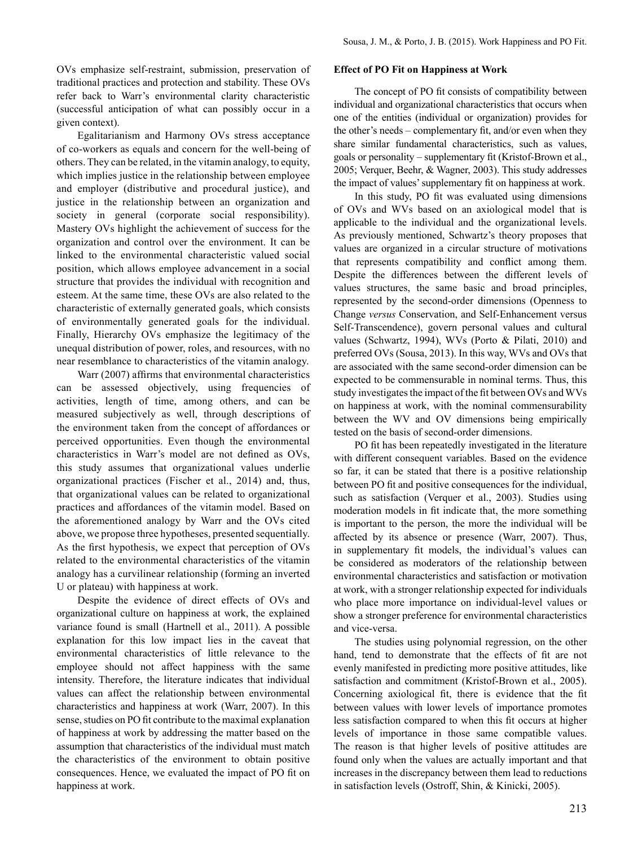OVs emphasize self-restraint, submission, preservation of traditional practices and protection and stability. These OVs refer back to Warr's environmental clarity characteristic (successful anticipation of what can possibly occur in a given context).

Egalitarianism and Harmony OVs stress acceptance of co-workers as equals and concern for the well-being of others. They can be related, in the vitamin analogy, to equity, which implies justice in the relationship between employee and employer (distributive and procedural justice), and justice in the relationship between an organization and society in general (corporate social responsibility). Mastery OVs highlight the achievement of success for the organization and control over the environment. It can be linked to the environmental characteristic valued social position, which allows employee advancement in a social structure that provides the individual with recognition and esteem. At the same time, these OVs are also related to the characteristic of externally generated goals, which consists of environmentally generated goals for the individual. Finally, Hierarchy OVs emphasize the legitimacy of the unequal distribution of power, roles, and resources, with no near resemblance to characteristics of the vitamin analogy.

Warr (2007) affirms that environmental characteristics can be assessed objectively, using frequencies of activities, length of time, among others, and can be measured subjectively as well, through descriptions of the environment taken from the concept of affordances or perceived opportunities. Even though the environmental characteristics in Warr's model are not defined as OVs, this study assumes that organizational values underlie organizational practices (Fischer et al., 2014) and, thus, that organizational values can be related to organizational practices and affordances of the vitamin model. Based on the aforementioned analogy by Warr and the OVs cited above, we propose three hypotheses, presented sequentially. As the first hypothesis, we expect that perception of OVs related to the environmental characteristics of the vitamin analogy has a curvilinear relationship (forming an inverted U or plateau) with happiness at work.

Despite the evidence of direct effects of OVs and organizational culture on happiness at work, the explained variance found is small (Hartnell et al., 2011). A possible explanation for this low impact lies in the caveat that environmental characteristics of little relevance to the employee should not affect happiness with the same intensity. Therefore, the literature indicates that individual values can affect the relationship between environmental characteristics and happiness at work (Warr, 2007). In this sense, studies on PO fit contribute to the maximal explanation of happiness at work by addressing the matter based on the assumption that characteristics of the individual must match the characteristics of the environment to obtain positive consequences. Hence, we evaluated the impact of PO fit on happiness at work.

## **Effect of PO Fit on Happiness at Work**

The concept of PO fit consists of compatibility between individual and organizational characteristics that occurs when one of the entities (individual or organization) provides for the other's needs – complementary fit, and/or even when they share similar fundamental characteristics, such as values, goals or personality – supplementary fit (Kristof-Brown et al., 2005; Verquer, Beehr, & Wagner, 2003). This study addresses the impact of values' supplementary fit on happiness at work.

In this study, PO fit was evaluated using dimensions of OVs and WVs based on an axiological model that is applicable to the individual and the organizational levels. As previously mentioned, Schwartz's theory proposes that values are organized in a circular structure of motivations that represents compatibility and conflict among them. Despite the differences between the different levels of values structures, the same basic and broad principles, represented by the second-order dimensions (Openness to Change *versus* Conservation, and Self-Enhancement versus Self-Transcendence), govern personal values and cultural values (Schwartz, 1994), WVs (Porto & Pilati, 2010) and preferred OVs (Sousa, 2013). In this way, WVs and OVs that are associated with the same second-order dimension can be expected to be commensurable in nominal terms. Thus, this study investigates the impact of the fit between OVs and WVs on happiness at work, with the nominal commensurability between the WV and OV dimensions being empirically tested on the basis of second-order dimensions.

PO fit has been repeatedly investigated in the literature with different consequent variables. Based on the evidence so far, it can be stated that there is a positive relationship between PO fit and positive consequences for the individual, such as satisfaction (Verquer et al., 2003). Studies using moderation models in fit indicate that, the more something is important to the person, the more the individual will be affected by its absence or presence (Warr, 2007). Thus, in supplementary fit models, the individual's values can be considered as moderators of the relationship between environmental characteristics and satisfaction or motivation at work, with a stronger relationship expected for individuals who place more importance on individual-level values or show a stronger preference for environmental characteristics and vice-versa.

The studies using polynomial regression, on the other hand, tend to demonstrate that the effects of fit are not evenly manifested in predicting more positive attitudes, like satisfaction and commitment (Kristof-Brown et al., 2005). Concerning axiological fit, there is evidence that the fit between values with lower levels of importance promotes less satisfaction compared to when this fit occurs at higher levels of importance in those same compatible values. The reason is that higher levels of positive attitudes are found only when the values are actually important and that increases in the discrepancy between them lead to reductions in satisfaction levels (Ostroff, Shin, & Kinicki, 2005).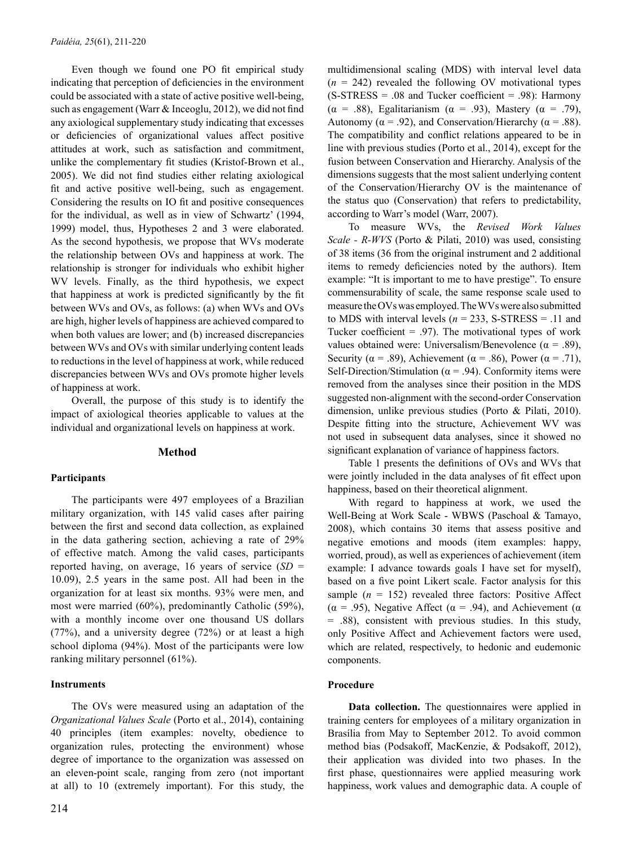Even though we found one PO fit empirical study indicating that perception of deficiencies in the environment could be associated with a state of active positive well-being, such as engagement (Warr & Inceoglu, 2012), we did not find any axiological supplementary study indicating that excesses or deficiencies of organizational values affect positive attitudes at work, such as satisfaction and commitment, unlike the complementary fit studies (Kristof-Brown et al., 2005). We did not find studies either relating axiological fit and active positive well-being, such as engagement. Considering the results on IO fit and positive consequences for the individual, as well as in view of Schwartz' (1994, 1999) model, thus, Hypotheses 2 and 3 were elaborated. As the second hypothesis, we propose that WVs moderate the relationship between OVs and happiness at work. The relationship is stronger for individuals who exhibit higher WV levels. Finally, as the third hypothesis, we expect that happiness at work is predicted significantly by the fit between WVs and OVs, as follows: (a) when WVs and OVs are high, higher levels of happiness are achieved compared to when both values are lower; and (b) increased discrepancies between WVs and OVs with similar underlying content leads to reductions in the level of happiness at work, while reduced discrepancies between WVs and OVs promote higher levels of happiness at work.

Overall, the purpose of this study is to identify the impact of axiological theories applicable to values at the individual and organizational levels on happiness at work.

#### **Method**

### **Participants**

The participants were 497 employees of a Brazilian military organization, with 145 valid cases after pairing between the first and second data collection, as explained in the data gathering section, achieving a rate of 29% of effective match. Among the valid cases, participants reported having, on average, 16 years of service (*SD* = 10.09), 2.5 years in the same post. All had been in the organization for at least six months. 93% were men, and most were married (60%), predominantly Catholic (59%), with a monthly income over one thousand US dollars (77%), and a university degree (72%) or at least a high school diploma (94%). Most of the participants were low ranking military personnel (61%).

### **Instruments**

The OVs were measured using an adaptation of the *Organizational Values Scale* (Porto et al., 2014), containing 40 principles (item examples: novelty, obedience to organization rules, protecting the environment) whose degree of importance to the organization was assessed on an eleven-point scale, ranging from zero (not important at all) to 10 (extremely important). For this study, the

multidimensional scaling (MDS) with interval level data  $(n = 242)$  revealed the following OV motivational types  $(S-STRESS = .08$  and Tucker coefficient = .98): Harmony ( $\alpha$  = .88), Egalitarianism ( $\alpha$  = .93), Mastery ( $\alpha$  = .79), Autonomy ( $\alpha$  = .92), and Conservation/Hierarchy ( $\alpha$  = .88). The compatibility and conflict relations appeared to be in line with previous studies (Porto et al., 2014), except for the fusion between Conservation and Hierarchy. Analysis of the dimensions suggests that the most salient underlying content of the Conservation/Hierarchy OV is the maintenance of the status quo (Conservation) that refers to predictability, according to Warr's model (Warr, 2007).

To measure WVs, the *Revised Work Values Scale - R-WVS* (Porto & Pilati, 2010) was used, consisting of 38 items (36 from the original instrument and 2 additional items to remedy deficiencies noted by the authors). Item example: "It is important to me to have prestige". To ensure commensurability of scale, the same response scale used to measure the OVs was employed. The WVs were also submitted to MDS with interval levels  $(n = 233, S\text{-STRESS} = .11)$  and Tucker coefficient  $= .97$ ). The motivational types of work values obtained were: Universalism/Benevolence ( $\alpha = .89$ ), Security ( $\alpha$  = .89), Achievement ( $\alpha$  = .86), Power ( $\alpha$  = .71), Self-Direction/Stimulation ( $\alpha$  = .94). Conformity items were removed from the analyses since their position in the MDS suggested non-alignment with the second-order Conservation dimension, unlike previous studies (Porto & Pilati, 2010). Despite fitting into the structure, Achievement WV was not used in subsequent data analyses, since it showed no significant explanation of variance of happiness factors.

Table 1 presents the definitions of OVs and WVs that were jointly included in the data analyses of fit effect upon happiness, based on their theoretical alignment.

With regard to happiness at work, we used the Well-Being at Work Scale - WBWS (Paschoal & Tamayo, 2008), which contains 30 items that assess positive and negative emotions and moods (item examples: happy, worried, proud), as well as experiences of achievement (item example: I advance towards goals I have set for myself), based on a five point Likert scale. Factor analysis for this sample  $(n = 152)$  revealed three factors: Positive Affect ( $\alpha$  = .95), Negative Affect ( $\alpha$  = .94), and Achievement ( $\alpha$ ) = .88), consistent with previous studies. In this study, only Positive Affect and Achievement factors were used, which are related, respectively, to hedonic and eudemonic components.

### **Procedure**

**Data collection.** The questionnaires were applied in training centers for employees of a military organization in Brasília from May to September 2012. To avoid common method bias (Podsakoff, MacKenzie, & Podsakoff, 2012), their application was divided into two phases. In the first phase, questionnaires were applied measuring work happiness, work values and demographic data. A couple of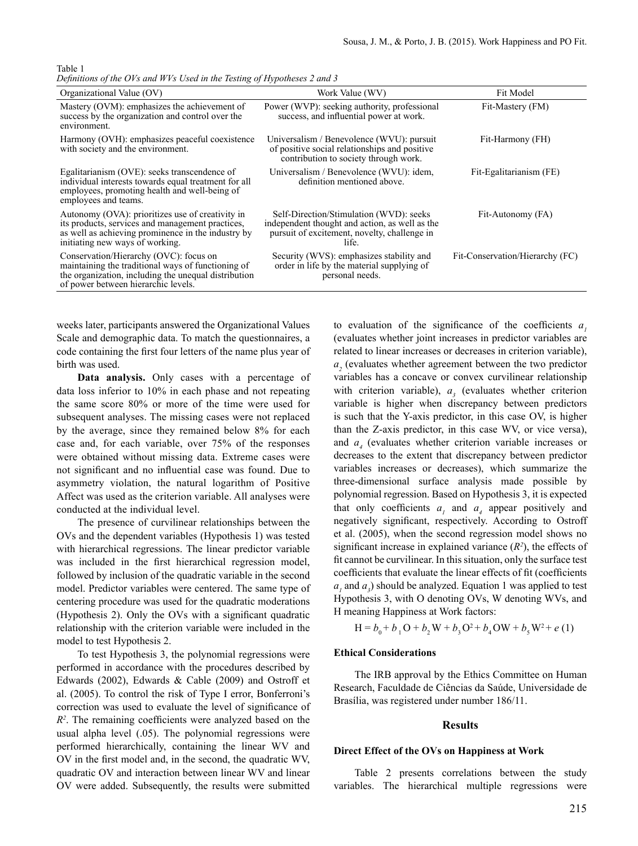Table 1 *Definitions of the OVs and WVs Used in the Testing of Hypotheses 2 and 3*

| Organizational Value (OV)                                                                                                                                                                     | Work Value (WV)                                                                                                                                    | Fit Model                       |
|-----------------------------------------------------------------------------------------------------------------------------------------------------------------------------------------------|----------------------------------------------------------------------------------------------------------------------------------------------------|---------------------------------|
| Mastery (OVM): emphasizes the achievement of<br>success by the organization and control over the<br>environment.                                                                              | Power (WVP): seeking authority, professional<br>success, and influential power at work.                                                            | Fit-Mastery (FM)                |
| Harmony (OVH): emphasizes peaceful coexistence<br>with society and the environment.                                                                                                           | Universalism / Benevolence (WVU): pursuit<br>of positive social relationships and positive<br>contribution to society through work.                | Fit-Harmony (FH)                |
| Egalitarianism (OVE): seeks transcendence of<br>individual interests towards equal treatment for all<br>employees, promoting health and well-being of<br>employees and teams.                 | Universalism / Benevolence (WVU): idem,<br>definition mentioned above.                                                                             | Fit-Egalitarianism (FE)         |
| Autonomy (OVA): prioritizes use of creativity in<br>its products, services and management practices,<br>as well as achieving prominence in the industry by<br>initiating new ways of working. | Self-Direction/Stimulation (WVD): seeks<br>independent thought and action, as well as the<br>pursuit of excitement, novelty, challenge in<br>life. | Fit-Autonomy (FA)               |
| Conservation/Hierarchy (OVC): focus on<br>maintaining the traditional ways of functioning of<br>the organization, including the unequal distribution<br>of power between hierarchic levels.   | Security (WVS): emphasizes stability and<br>order in life by the material supplying of<br>personal needs.                                          | Fit-Conservation/Hierarchy (FC) |

weeks later, participants answered the Organizational Values Scale and demographic data. To match the questionnaires, a code containing the first four letters of the name plus year of birth was used.

**Data analysis.** Only cases with a percentage of data loss inferior to 10% in each phase and not repeating the same score 80% or more of the time were used for subsequent analyses. The missing cases were not replaced by the average, since they remained below 8% for each case and, for each variable, over 75% of the responses were obtained without missing data. Extreme cases were not significant and no influential case was found. Due to asymmetry violation, the natural logarithm of Positive Affect was used as the criterion variable. All analyses were conducted at the individual level.

The presence of curvilinear relationships between the OVs and the dependent variables (Hypothesis 1) was tested with hierarchical regressions. The linear predictor variable was included in the first hierarchical regression model, followed by inclusion of the quadratic variable in the second model. Predictor variables were centered. The same type of centering procedure was used for the quadratic moderations (Hypothesis 2). Only the OVs with a significant quadratic relationship with the criterion variable were included in the model to test Hypothesis 2.

To test Hypothesis 3, the polynomial regressions were performed in accordance with the procedures described by Edwards (2002), Edwards & Cable (2009) and Ostroff et al. (2005). To control the risk of Type I error, Bonferroni's correction was used to evaluate the level of significance of *R2* . The remaining coefficients were analyzed based on the usual alpha level (.05). The polynomial regressions were performed hierarchically, containing the linear WV and OV in the first model and, in the second, the quadratic WV, quadratic OV and interaction between linear WV and linear OV were added. Subsequently, the results were submitted

to evaluation of the significance of the coefficients  $a_1$ (evaluates whether joint increases in predictor variables are related to linear increases or decreases in criterion variable),  $a_2$  (evaluates whether agreement between the two predictor variables has a concave or convex curvilinear relationship with criterion variable),  $a<sub>3</sub>$  (evaluates whether criterion variable is higher when discrepancy between predictors is such that the Y-axis predictor, in this case OV, is higher than the Z-axis predictor, in this case WV, or vice versa), and  $a<sub>4</sub>$  (evaluates whether criterion variable increases or decreases to the extent that discrepancy between predictor variables increases or decreases), which summarize the three-dimensional surface analysis made possible by polynomial regression. Based on Hypothesis 3, it is expected that only coefficients  $a_i$  and  $a_4$  appear positively and negatively significant, respectively. According to Ostroff et al. (2005), when the second regression model shows no significant increase in explained variance  $(R^2)$ , the effects of fit cannot be curvilinear. In this situation, only the surface test coefficients that evaluate the linear effects of fit (coefficients  $a_1$  and  $a_3$ ) should be analyzed. Equation 1 was applied to test Hypothesis 3, with O denoting OVs, W denoting WVs, and H meaning Happiness at Work factors:

$$
H = b_0 + b_1 O + b_2 W + b_3 O^2 + b_4 O W + b_5 W^2 + e(1)
$$

#### **Ethical Considerations**

The IRB approval by the Ethics Committee on Human Research, Faculdade de Ciências da Saúde, Universidade de Brasília, was registered under number 186/11.

### **Results**

#### **Direct Effect of the OVs on Happiness at Work**

Table 2 presents correlations between the study variables. The hierarchical multiple regressions were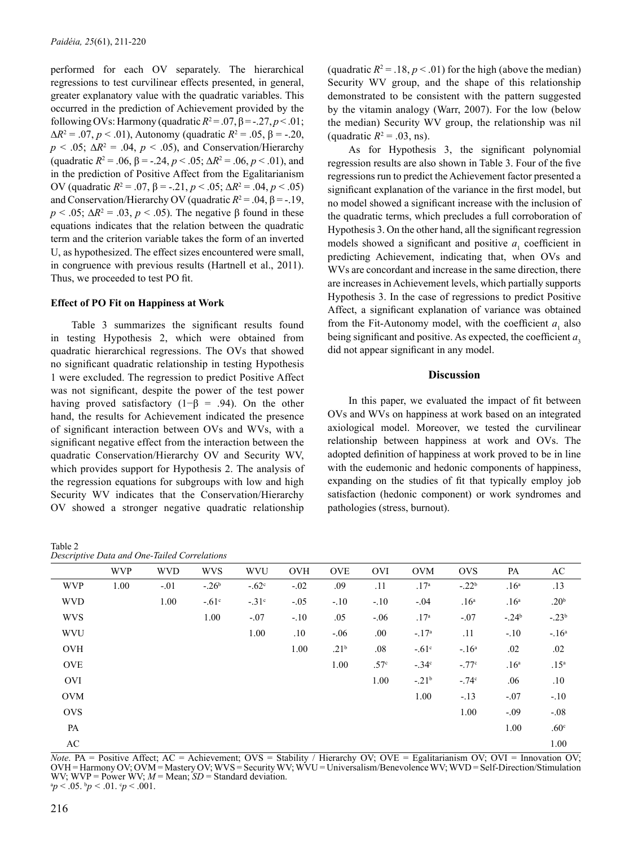performed for each OV separately. The hierarchical regressions to test curvilinear effects presented, in general, greater explanatory value with the quadratic variables. This occurred in the prediction of Achievement provided by the following OVs: Harmony (quadratic  $R^2 = .07$ ,  $\beta = -.27$ ,  $p < .01$ ;  $\Delta R^2$  = .07, *p* < .01), Autonomy (quadratic *R*<sup>2</sup> = .05, β = -.20,  $p \leq 0.05$ ;  $\Delta R^2 = 0.04$ ,  $p \leq 0.05$ ), and Conservation/Hierarchy (quadratic  $R^2 = .06$ ,  $\beta = -.24$ ,  $p < .05$ ;  $\Delta R^2 = .06$ ,  $p < .01$ ), and in the prediction of Positive Affect from the Egalitarianism OV (quadratic  $R^2 = .07$ ,  $\beta = -.21$ ,  $p < .05$ ;  $\Delta R^2 = .04$ ,  $p < .05$ ) and Conservation/Hierarchy OV (quadratic  $R^2 = .04$ ,  $\beta = -.19$ ,  $p < .05$ ;  $\Delta R^2 = .03$ ,  $p < .05$ ). The negative  $\beta$  found in these equations indicates that the relation between the quadratic term and the criterion variable takes the form of an inverted U, as hypothesized. The effect sizes encountered were small, in congruence with previous results (Hartnell et al., 2011). Thus, we proceeded to test PO fit.

## **Effect of PO Fit on Happiness at Work**

Table 3 summarizes the significant results found in testing Hypothesis 2, which were obtained from quadratic hierarchical regressions. The OVs that showed no significant quadratic relationship in testing Hypothesis 1 were excluded. The regression to predict Positive Affect was not significant, despite the power of the test power having proved satisfactory (1– $\beta$  = .94). On the other hand, the results for Achievement indicated the presence of significant interaction between OVs and WVs, with a significant negative effect from the interaction between the quadratic Conservation/Hierarchy OV and Security WV, which provides support for Hypothesis 2. The analysis of the regression equations for subgroups with low and high Security WV indicates that the Conservation/Hierarchy OV showed a stronger negative quadratic relationship

| 1<br>×<br>I |  |
|-------------|--|
|-------------|--|

| Descriptive Data and One-Tailed Correlations |  |  |
|----------------------------------------------|--|--|
|----------------------------------------------|--|--|

(quadratic  $R^2 = .18$ ,  $p < .01$ ) for the high (above the median) Security WV group, and the shape of this relationship demonstrated to be consistent with the pattern suggested by the vitamin analogy (Warr, 2007). For the low (below the median) Security WV group, the relationship was nil (quadratic  $R^2 = .03$ , ns).

As for Hypothesis 3, the significant polynomial regression results are also shown in Table 3. Four of the five regressions run to predict the Achievement factor presented a significant explanation of the variance in the first model, but no model showed a significant increase with the inclusion of the quadratic terms, which precludes a full corroboration of Hypothesis 3. On the other hand, all the significant regression models showed a significant and positive  $a_1$  coefficient in predicting Achievement, indicating that, when OVs and WVs are concordant and increase in the same direction, there are increases in Achievement levels, which partially supports Hypothesis 3. In the case of regressions to predict Positive Affect, a significant explanation of variance was obtained from the Fit-Autonomy model, with the coefficient  $a_1$  also being significant and positive. As expected, the coefficient  $a_3$ did not appear significant in any model.

## **Discussion**

In this paper, we evaluated the impact of fit between OVs and WVs on happiness at work based on an integrated axiological model. Moreover, we tested the curvilinear relationship between happiness at work and OVs. The adopted definition of happiness at work proved to be in line with the eudemonic and hedonic components of happiness, expanding on the studies of fit that typically employ job satisfaction (hedonic component) or work syndromes and pathologies (stress, burnout).

|            | <b>WVP</b> | <b>WVD</b> | <b>WVS</b> | <b>WVU</b> | <b>OVH</b> | <b>OVE</b>       | OVI              | <b>OVM</b>       | <b>OVS</b>       | PA               | AC               |
|------------|------------|------------|------------|------------|------------|------------------|------------------|------------------|------------------|------------------|------------------|
| <b>WVP</b> | 1.00       | $-.01$     | $-.26b$    | $-.62c$    | $-.02$     | .09              | .11              | .17 <sup>a</sup> | $-.22b$          | .16 <sup>a</sup> | .13              |
| <b>WVD</b> |            | 1.00       | $-.61c$    | $-.31c$    | $-.05$     | $-.10$           | $-.10$           | $-.04$           | .16 <sup>a</sup> | .16 <sup>a</sup> | .20 <sup>b</sup> |
| <b>WVS</b> |            |            | 1.00       | $-.07$     | $-.10$     | .05              | $-.06$           | .17 <sup>a</sup> | $-.07$           | $-.24b$          | $-.23b$          |
| <b>WVU</b> |            |            |            | 1.00       | .10        | $-.06$           | .00.             | $-.17a$          | .11              | $-.10$           | $-16^{\rm a}$    |
| <b>OVH</b> |            |            |            |            | 1.00       | .21 <sup>b</sup> | .08              | $-.61c$          | $-.16a$          | .02              | .02              |
| <b>OVE</b> |            |            |            |            |            | 1.00             | .57 <sup>c</sup> | $-.34c$          | $-.77c$          | .16 <sup>a</sup> | .15 <sup>a</sup> |
| OVI        |            |            |            |            |            |                  | 1.00             | $-0.21^{b}$      | $-.74c$          | .06              | .10              |
| <b>OVM</b> |            |            |            |            |            |                  |                  | 1.00             | $-.13$           | $-.07$           | $-.10$           |
| <b>OVS</b> |            |            |            |            |            |                  |                  |                  | 1.00             | $-.09$           | $-.08$           |
| PA         |            |            |            |            |            |                  |                  |                  |                  | 1.00             | .60 <sup>c</sup> |
| AC         |            |            |            |            |            |                  |                  |                  |                  |                  | 1.00             |

*Note*. PA = Positive Affect; AC = Achievement; OVS = Stability / Hierarchy OV; OVE = Egalitarianism OV; OVI = Innovation OV; OVH = Harmony OV; OVM = Mastery OV; WVS = Security WV; WVU = Universalism/Benevolence WV; WVD = Self-Direction/Stimulation WV; WVP = Power WV;  $M =$  Mean;  $SD =$  Standard deviation.  $p < .05.~^{\text{b}}p < .01.~^{\text{c}}p < .001.$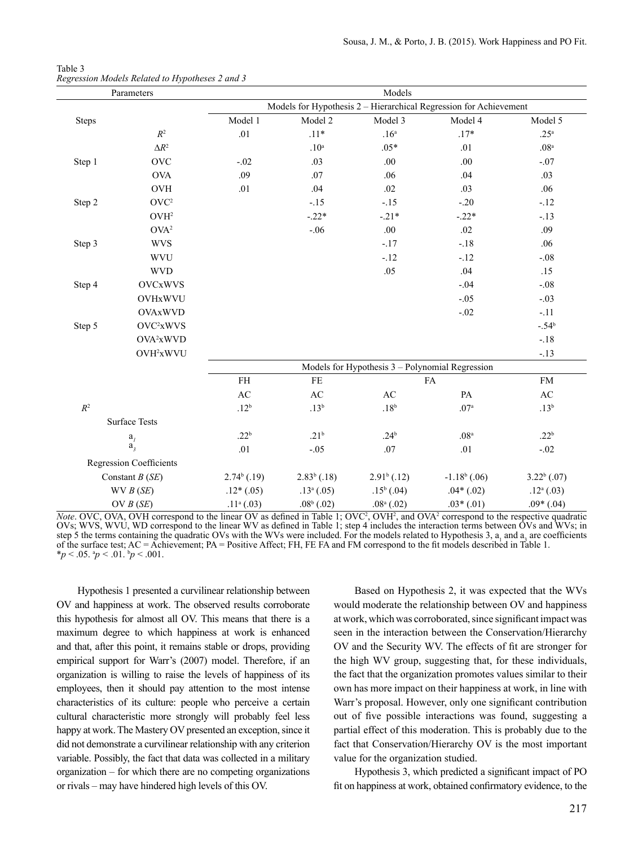|                                | Parameters            |                                                                   |                                                 | Models                 |                  |                        |  |  |
|--------------------------------|-----------------------|-------------------------------------------------------------------|-------------------------------------------------|------------------------|------------------|------------------------|--|--|
|                                |                       | Models for Hypothesis 2 - Hierarchical Regression for Achievement |                                                 |                        |                  |                        |  |  |
| <b>Steps</b>                   |                       | Model 1                                                           | Model 2                                         | Model 3                | Model 4          | Model 5                |  |  |
|                                | $R^2$                 | .01                                                               | $.11*$                                          | .16 <sup>a</sup>       | $.17*$           | .25 <sup>a</sup>       |  |  |
|                                | $\Delta R^2$          |                                                                   | .10 <sup>a</sup>                                | $.05*$                 | .01              | .08 <sup>a</sup>       |  |  |
| Step 1                         | <b>OVC</b>            | $-.02$                                                            | .03                                             | .00.                   | .00              | $-.07$                 |  |  |
|                                | <b>OVA</b>            | .09                                                               | .07                                             | .06                    | .04              | .03                    |  |  |
|                                | <b>OVH</b>            | .01                                                               | .04                                             | .02                    | .03              | .06                    |  |  |
| Step 2                         | $\rm OVC^2$           |                                                                   | $-.15$                                          | $-.15$                 | $-.20$           | $-.12$                 |  |  |
|                                | OVH <sup>2</sup>      |                                                                   | $-.22*$                                         | $-21*$                 | $-.22*$          | $-.13$                 |  |  |
|                                | OVA <sup>2</sup>      |                                                                   | $-.06$                                          | .00.                   | .02              | .09                    |  |  |
| Step 3                         | <b>WVS</b>            |                                                                   |                                                 | $-.17$                 | $-.18$           | .06                    |  |  |
|                                | <b>WVU</b>            |                                                                   |                                                 | $-.12$                 | $-.12$           | $-.08$                 |  |  |
|                                | <b>WVD</b>            |                                                                   |                                                 | .05                    | .04              | .15                    |  |  |
| Step 4                         | <b>OVCxWVS</b>        |                                                                   |                                                 |                        | $-.04$           | $-.08$                 |  |  |
|                                | OVHxWVU               |                                                                   |                                                 |                        | $-.05$           | $-.03$                 |  |  |
|                                | <b>OVAxWVD</b>        |                                                                   |                                                 |                        | $-.02$           | $-.11$                 |  |  |
| Step 5                         | OVC <sup>2</sup> xWVS |                                                                   |                                                 |                        |                  | $-.54^b$               |  |  |
|                                | OVA <sup>2</sup> xWVD |                                                                   |                                                 |                        |                  | $-.18$                 |  |  |
|                                | OVH <sup>2</sup> xWVU |                                                                   |                                                 |                        |                  | $-.13$                 |  |  |
|                                |                       |                                                                   | Models for Hypothesis 3 - Polynomial Regression |                        |                  |                        |  |  |
|                                |                       | FH                                                                | $\rm FE$                                        |                        | FA               | ${\rm FM}$             |  |  |
|                                |                       | $\mathbf{A}\mathbf{C}$                                            | AC                                              | $\mathbf{A}\mathbf{C}$ | $\mathbf{PA}$    | $\mathbf{A}\mathbf{C}$ |  |  |
| $R^2$                          |                       | .12 <sup>b</sup>                                                  | .13 <sup>b</sup>                                | .18 <sup>b</sup>       | .07 <sup>a</sup> | .13 <sup>b</sup>       |  |  |
| <b>Surface Tests</b>           |                       |                                                                   |                                                 |                        |                  |                        |  |  |
| $a_{i}$<br>$a'_3$              |                       | .22 $b$                                                           | .21 <sup>b</sup>                                | .24 <sup>b</sup>       | .08 <sup>a</sup> | .22 $b$                |  |  |
|                                |                       | .01                                                               | $-.05$                                          | .07                    | .01              | $-.02$                 |  |  |
| <b>Regression Coefficients</b> |                       |                                                                   |                                                 |                        |                  |                        |  |  |
|                                | Constant $B(SE)$      | 2.74 <sup>b</sup> (.19)                                           | $2.83b$ (.18)                                   | $2.91b$ (.12)          | $-1.18b$ (.06)   | $3.22^b$ (.07)         |  |  |
|                                | WVB(SE)               | $.12*(.05)$                                                       | .13 <sup>a</sup> (.05)                          | .15 <sup>b</sup> (.04) | $.04*(.02)$      | .12 <sup>a</sup> (.03) |  |  |
| OVB(SE)                        |                       | .11 <sup>a</sup> (.03)                                            | .08 <sup>b</sup> (.02)                          | .08 $(a.02)$           | $.03*(.01)$      | $.09*(.04)$            |  |  |

Table 3 *Regression Models Related to Hypotheses 2 and 3*

*Note*. OVC, OVA, OVH correspond to the linear OV as defined in Table 1; OVC<sup>2</sup>, OVH<sup>2</sup>, and OVA<sup>2</sup> correspond to the respective quadratic OVs; WVS, WVU, WD correspond to the linear WV as defined in Table 1; step 4 includes the interaction terms between OVs and WVs; in step 5 the terms containing the quadratic OVs with the WVs were included. For the models related to Hypothesis 3,  $a_1$  and  $a_3$  are coefficients of the surface test; AC = Achievement; PA = Positive Affect; FH, FE FA and FM correspond to the fit models described in Table 1. \**p* < .05. a *p <* .01. b *p* < .001.

Hypothesis 1 presented a curvilinear relationship between OV and happiness at work. The observed results corroborate this hypothesis for almost all OV. This means that there is a maximum degree to which happiness at work is enhanced and that, after this point, it remains stable or drops, providing empirical support for Warr's (2007) model. Therefore, if an organization is willing to raise the levels of happiness of its employees, then it should pay attention to the most intense characteristics of its culture: people who perceive a certain cultural characteristic more strongly will probably feel less happy at work. The Mastery OV presented an exception, since it did not demonstrate a curvilinear relationship with any criterion variable. Possibly, the fact that data was collected in a military organization – for which there are no competing organizations or rivals – may have hindered high levels of this OV.

Based on Hypothesis 2, it was expected that the WVs would moderate the relationship between OV and happiness at work, which was corroborated, since significant impact was seen in the interaction between the Conservation/Hierarchy OV and the Security WV. The effects of fit are stronger for the high WV group, suggesting that, for these individuals, the fact that the organization promotes values similar to their own has more impact on their happiness at work, in line with Warr's proposal. However, only one significant contribution out of five possible interactions was found, suggesting a partial effect of this moderation. This is probably due to the fact that Conservation/Hierarchy OV is the most important value for the organization studied.

Hypothesis 3, which predicted a significant impact of PO fit on happiness at work, obtained confirmatory evidence, to the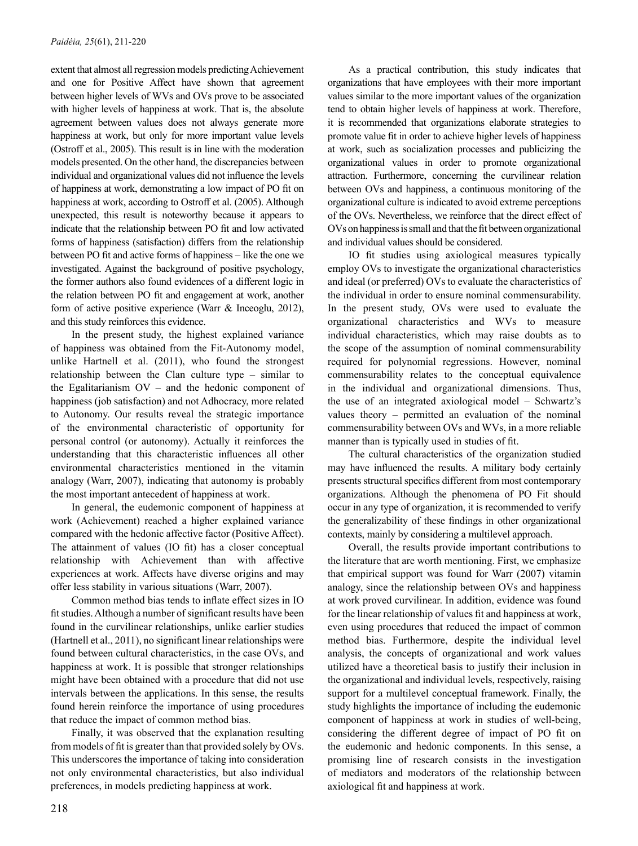extent that almost all regression models predicting Achievement and one for Positive Affect have shown that agreement between higher levels of WVs and OVs prove to be associated with higher levels of happiness at work. That is, the absolute agreement between values does not always generate more happiness at work, but only for more important value levels (Ostroff et al., 2005). This result is in line with the moderation models presented. On the other hand, the discrepancies between individual and organizational values did not influence the levels of happiness at work, demonstrating a low impact of PO fit on happiness at work, according to Ostroff et al. (2005). Although unexpected, this result is noteworthy because it appears to indicate that the relationship between PO fit and low activated forms of happiness (satisfaction) differs from the relationship between PO fit and active forms of happiness – like the one we investigated. Against the background of positive psychology, the former authors also found evidences of a different logic in the relation between PO fit and engagement at work, another form of active positive experience (Warr & Inceoglu, 2012), and this study reinforces this evidence.

In the present study, the highest explained variance of happiness was obtained from the Fit-Autonomy model, unlike Hartnell et al. (2011), who found the strongest relationship between the Clan culture type – similar to the Egalitarianism OV – and the hedonic component of happiness (job satisfaction) and not Adhocracy, more related to Autonomy. Our results reveal the strategic importance of the environmental characteristic of opportunity for personal control (or autonomy). Actually it reinforces the understanding that this characteristic influences all other environmental characteristics mentioned in the vitamin analogy (Warr, 2007), indicating that autonomy is probably the most important antecedent of happiness at work.

In general, the eudemonic component of happiness at work (Achievement) reached a higher explained variance compared with the hedonic affective factor (Positive Affect). The attainment of values (IO fit) has a closer conceptual relationship with Achievement than with affective experiences at work. Affects have diverse origins and may offer less stability in various situations (Warr, 2007).

Common method bias tends to inflate effect sizes in IO fit studies. Although a number of significant results have been found in the curvilinear relationships, unlike earlier studies (Hartnell et al., 2011), no significant linear relationships were found between cultural characteristics, in the case OVs, and happiness at work. It is possible that stronger relationships might have been obtained with a procedure that did not use intervals between the applications. In this sense, the results found herein reinforce the importance of using procedures that reduce the impact of common method bias.

Finally, it was observed that the explanation resulting from models of fit is greater than that provided solely by OVs. This underscores the importance of taking into consideration not only environmental characteristics, but also individual preferences, in models predicting happiness at work.

As a practical contribution, this study indicates that organizations that have employees with their more important values similar to the more important values of the organization tend to obtain higher levels of happiness at work. Therefore, it is recommended that organizations elaborate strategies to promote value fit in order to achieve higher levels of happiness at work, such as socialization processes and publicizing the organizational values in order to promote organizational attraction. Furthermore, concerning the curvilinear relation between OVs and happiness, a continuous monitoring of the organizational culture is indicated to avoid extreme perceptions of the OVs. Nevertheless, we reinforce that the direct effect of OVs on happiness is small and that the fit between organizational and individual values should be considered.

IO fit studies using axiological measures typically employ OVs to investigate the organizational characteristics and ideal (or preferred) OVs to evaluate the characteristics of the individual in order to ensure nominal commensurability. In the present study, OVs were used to evaluate the organizational characteristics and WVs to measure individual characteristics, which may raise doubts as to the scope of the assumption of nominal commensurability required for polynomial regressions. However, nominal commensurability relates to the conceptual equivalence in the individual and organizational dimensions. Thus, the use of an integrated axiological model – Schwartz's values theory – permitted an evaluation of the nominal commensurability between OVs and WVs, in a more reliable manner than is typically used in studies of fit.

The cultural characteristics of the organization studied may have influenced the results. A military body certainly presents structural specifics different from most contemporary organizations. Although the phenomena of PO Fit should occur in any type of organization, it is recommended to verify the generalizability of these findings in other organizational contexts, mainly by considering a multilevel approach.

Overall, the results provide important contributions to the literature that are worth mentioning. First, we emphasize that empirical support was found for Warr (2007) vitamin analogy, since the relationship between OVs and happiness at work proved curvilinear. In addition, evidence was found for the linear relationship of values fit and happiness at work, even using procedures that reduced the impact of common method bias. Furthermore, despite the individual level analysis, the concepts of organizational and work values utilized have a theoretical basis to justify their inclusion in the organizational and individual levels, respectively, raising support for a multilevel conceptual framework. Finally, the study highlights the importance of including the eudemonic component of happiness at work in studies of well-being, considering the different degree of impact of PO fit on the eudemonic and hedonic components. In this sense, a promising line of research consists in the investigation of mediators and moderators of the relationship between axiological fit and happiness at work.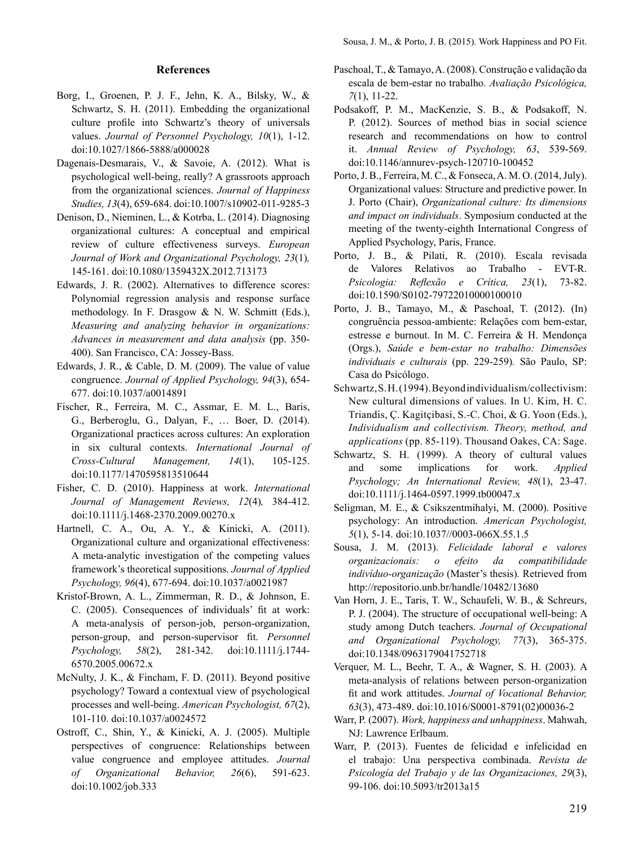#### **References**

- Borg, I., Groenen, P. J. F., Jehn, K. A., Bilsky, W., & Schwartz, S. H. (2011). Embedding the organizational culture profile into Schwartz's theory of universals values. *Journal of Personnel Psychology, 10*(1), 1-12. doi:10.1027/1866-5888/a000028
- Dagenais-Desmarais, V., & Savoie, A. (2012). What is psychological well-being, really? A grassroots approach from the organizational sciences. *Journal of Happiness Studies, 13*(4), 659-684. doi:10.1007/s10902-011-9285-3
- Denison, D., Nieminen, L., & Kotrba, L. (2014). Diagnosing organizational cultures: A conceptual and empirical review of culture effectiveness surveys. *European Journal of Work and Organizational Psychology, 23*(1)*,*  145-161. doi:10.1080/1359432X.2012.713173
- Edwards, J. R. (2002). Alternatives to difference scores: Polynomial regression analysis and response surface methodology. In F. Drasgow & N. W. Schmitt (Eds.), *Measuring and analyzing behavior in organizations: Advances in measurement and data analysis* (pp. 350- 400). San Francisco, CA: Jossey-Bass.
- Edwards, J. R., & Cable, D. M. (2009). The value of value congruence. *Journal of Applied Psychology, 94*(3), 654- 677. doi:10.1037/a0014891
- Fischer, R., Ferreira, M. C., Assmar, E. M. L., Baris, G., Berberoglu, G., Dalyan, F., … Boer, D. (2014). Organizational practices across cultures: An exploration in six cultural contexts. *International Journal of Cross-Cultural Management, 14*(1), 105-125. doi:10.1177/1470595813510644
- Fisher, C. D. (2010). Happiness at work. *International Journal of Management Reviews, 12*(4)*,* 384-412. doi:10.1111/j.1468-2370.2009.00270.x
- Hartnell, C. A., Ou, A. Y., & Kinicki, A. (2011). Organizational culture and organizational effectiveness: A meta-analytic investigation of the competing values framework's theoretical suppositions. *Journal of Applied Psychology, 96*(4), 677-694. doi:10.1037/a0021987
- Kristof-Brown, A. L., Zimmerman, R. D., & Johnson, E. C. (2005). Consequences of individuals' fit at work: A meta-analysis of person-job, person-organization, person-group, and person-supervisor fit. *Personnel Psychology, 58*(2), 281-342. doi:10.1111/j.1744- 6570.2005.00672.x
- McNulty, J. K., & Fincham, F. D. (2011). Beyond positive psychology? Toward a contextual view of psychological processes and well-being. *American Psychologist, 67*(2), 101-110. doi:10.1037/a0024572
- Ostroff, C., Shin, Y., & Kinicki, A. J. (2005). Multiple perspectives of congruence: Relationships between value congruence and employee attitudes. *Journal of Organizational Behavior, 26*(6), 591-623. doi:10.1002/job.333
- Paschoal, T., & Tamayo, A. (2008). Construção e validação da escala de bem-estar no trabalho. *Avaliação Psicológica, 7*(1), 11-22.
- Podsakoff, P. M., MacKenzie, S. B., & Podsakoff, N. P. (2012). Sources of method bias in social science research and recommendations on how to control it. *Annual Review of Psychology, 63*, 539-569. doi:10.1146/annurev-psych-120710-100452
- Porto, J. B., Ferreira, M. C., & Fonseca, A. M. O. (2014, July). Organizational values: Structure and predictive power. In J. Porto (Chair), *Organizational culture: Its dimensions and impact on individuals*. Symposium conducted at the meeting of the twenty-eighth International Congress of Applied Psychology, Paris, France.
- Porto, J. B., & Pilati, R. (2010). Escala revisada de Valores Relativos ao Trabalho - EVT-R. *Psicologia: Reflexão e Crítica, 23*(1), 73-82. doi:10.1590/S0102-79722010000100010
- Porto, J. B., Tamayo, M., & Paschoal, T. (2012). (In) congruência pessoa-ambiente: Relações com bem-estar, estresse e burnout. In M. C. Ferreira & H. Mendonça (Orgs.), *Saúde e bem-estar no trabalho: Dimensões individuais e culturais* (pp. 229-259)*.* São Paulo, SP: Casa do Psicólogo.
- Schwartz, S. H. (1994). Beyond individualism/collectivism: New cultural dimensions of values. In U. Kim, H. C. Triandis, Ç. Kagitçibasi, S.-C. Choi, & G. Yoon (Eds.), *Individualism and collectivism. Theory, method, and applications* (pp. 85-119). Thousand Oakes, CA: Sage.
- Schwartz, S. H. (1999). A theory of cultural values and some implications for work*. Applied Psychology; An International Review, 48*(1), 23-47. doi:10.1111/j.1464-0597.1999.tb00047.x
- Seligman, M. E., & Csikszentmihalyi, M. (2000). Positive psychology: An introduction. *American Psychologist, 5*(1), 5-14. doi:10.1037//0003-066X.55.1.5
- Sousa, J. M. (2013). *Felicidade laboral e valores organizacionais: o efeito da compatibilidade indivíduo-organização* (Master's thesis)*.* Retrieved from http://repositorio.unb.br/handle/10482/13680
- Van Horn, J. E., Taris, T. W., Schaufeli, W. B., & Schreurs, P. J. (2004). The structure of occupational well-being: A study among Dutch teachers. *Journal of Occupational and Organizational Psychology, 77*(3), 365-375. doi:10.1348/0963179041752718
- Verquer, M. L., Beehr, T. A., & Wagner, S. H. (2003). A meta-analysis of relations between person-organization fit and work attitudes. *Journal of Vocational Behavior, 63*(3), 473-489. doi:10.1016/S0001-8791(02)00036-2
- Warr, P. (2007). *Work, happiness and unhappiness*. Mahwah, NJ: Lawrence Erlbaum.
- Warr, P. (2013). Fuentes de felicidad e infelicidad en el trabajo: Una perspectiva combinada. *Revista de Psicología del Trabajo y de las Organizaciones, 29*(3), 99-106. doi:10.5093/tr2013a15